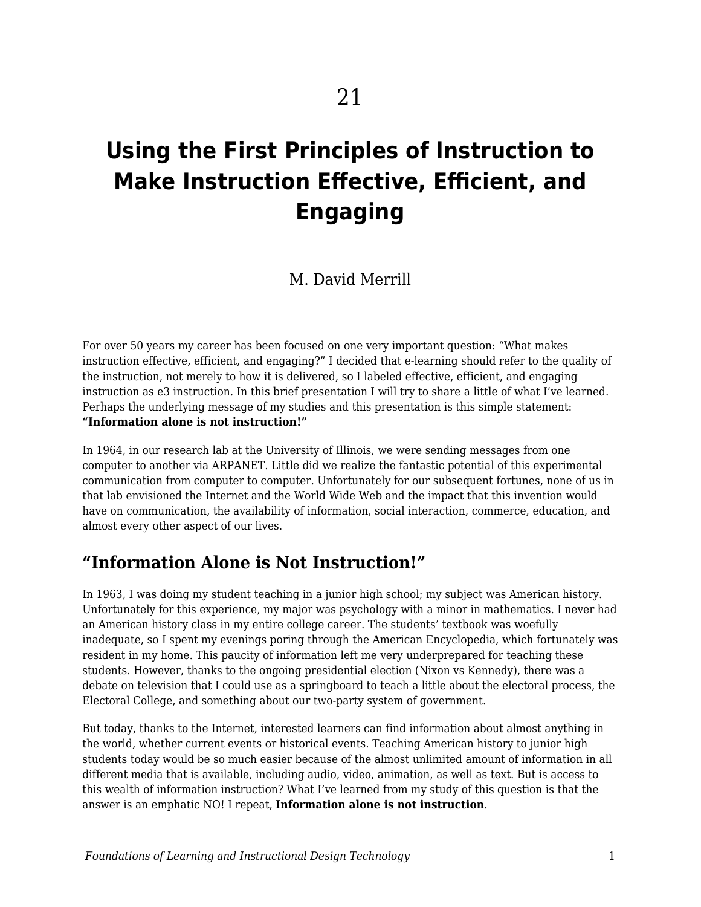# **Using the First Principles of Instruction to Make Instruction Effective, Efficient, and Engaging**

#### M. David Merrill

For over 50 years my career has been focused on one very important question: "What makes instruction effective, efficient, and engaging?" I decided that e-learning should refer to the quality of the instruction, not merely to how it is delivered, so I labeled effective, efficient, and engaging instruction as e3 instruction. In this brief presentation I will try to share a little of what I've learned. Perhaps the underlying message of my studies and this presentation is this simple statement: **"Information alone is not instruction!"**

In 1964, in our research lab at the University of Illinois, we were sending messages from one computer to another via ARPANET. Little did we realize the fantastic potential of this experimental communication from computer to computer. Unfortunately for our subsequent fortunes, none of us in that lab envisioned the Internet and the World Wide Web and the impact that this invention would have on communication, the availability of information, social interaction, commerce, education, and almost every other aspect of our lives.

### **"Information Alone is Not Instruction!"**

In 1963, I was doing my student teaching in a junior high school; my subject was American history. Unfortunately for this experience, my major was psychology with a minor in mathematics. I never had an American history class in my entire college career. The students' textbook was woefully inadequate, so I spent my evenings poring through the American Encyclopedia, which fortunately was resident in my home. This paucity of information left me very underprepared for teaching these students. However, thanks to the ongoing presidential election (Nixon vs Kennedy), there was a debate on television that I could use as a springboard to teach a little about the electoral process, the Electoral College, and something about our two-party system of government.

But today, thanks to the Internet, interested learners can find information about almost anything in the world, whether current events or historical events. Teaching American history to junior high students today would be so much easier because of the almost unlimited amount of information in all different media that is available, including audio, video, animation, as well as text. But is access to this wealth of information instruction? What I've learned from my study of this question is that the answer is an emphatic NO! I repeat, **Information alone is not instruction**.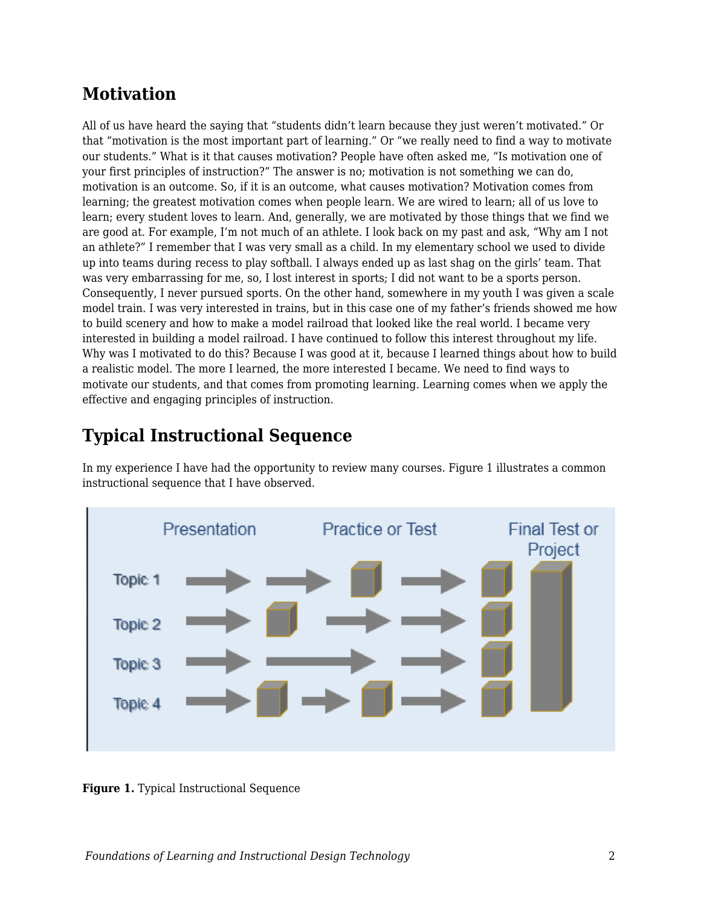## **Motivation**

All of us have heard the saying that "students didn't learn because they just weren't motivated." Or that "motivation is the most important part of learning." Or "we really need to find a way to motivate our students." What is it that causes motivation? People have often asked me, "Is motivation one of your first principles of instruction?" The answer is no; motivation is not something we can do, motivation is an outcome. So, if it is an outcome, what causes motivation? Motivation comes from learning; the greatest motivation comes when people learn. We are wired to learn; all of us love to learn; every student loves to learn. And, generally, we are motivated by those things that we find we are good at. For example, I'm not much of an athlete. I look back on my past and ask, "Why am I not an athlete?" I remember that I was very small as a child. In my elementary school we used to divide up into teams during recess to play softball. I always ended up as last shag on the girls' team. That was very embarrassing for me, so, I lost interest in sports; I did not want to be a sports person. Consequently, I never pursued sports. On the other hand, somewhere in my youth I was given a scale model train. I was very interested in trains, but in this case one of my father's friends showed me how to build scenery and how to make a model railroad that looked like the real world. I became very interested in building a model railroad. I have continued to follow this interest throughout my life. Why was I motivated to do this? Because I was good at it, because I learned things about how to build a realistic model. The more I learned, the more interested I became. We need to find ways to motivate our students, and that comes from promoting learning. Learning comes when we apply the effective and engaging principles of instruction.

# **Typical Instructional Sequence**

In my experience I have had the opportunity to review many courses. Figure 1 illustrates a common instructional sequence that I have observed.



**Figure 1.** Typical Instructional Sequence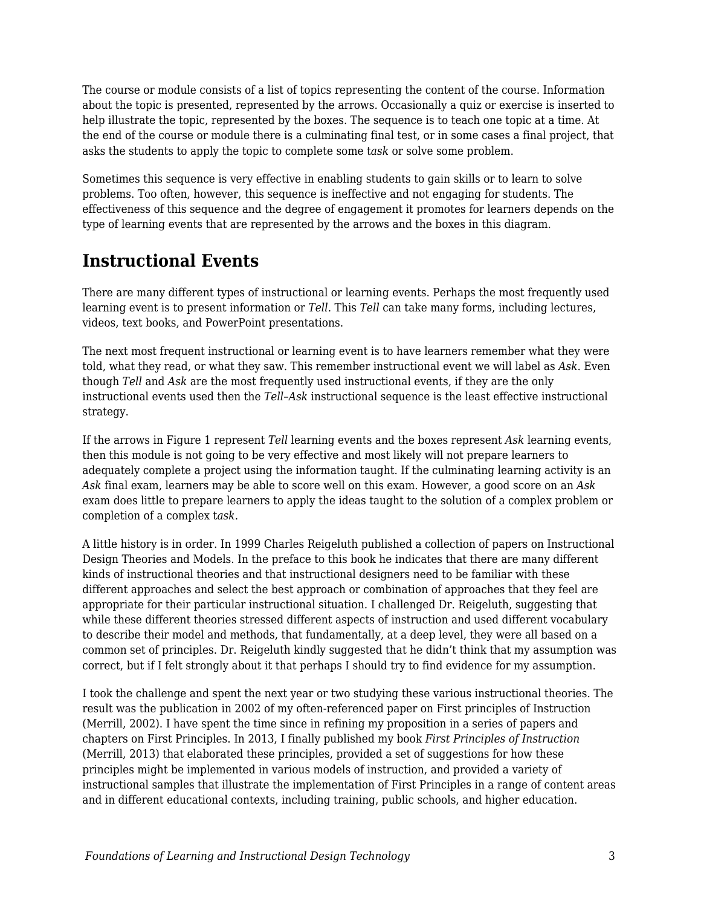The course or module consists of a list of topics representing the content of the course. Information about the topic is presented, represented by the arrows. Occasionally a quiz or exercise is inserted to help illustrate the topic, represented by the boxes. The sequence is to teach one topic at a time. At the end of the course or module there is a culminating final test, or in some cases a final project, that asks the students to apply the topic to complete some t*ask* or solve some problem.

Sometimes this sequence is very effective in enabling students to gain skills or to learn to solve problems. Too often, however, this sequence is ineffective and not engaging for students. The effectiveness of this sequence and the degree of engagement it promotes for learners depends on the type of learning events that are represented by the arrows and the boxes in this diagram.

## **Instructional Events**

There are many different types of instructional or learning events. Perhaps the most frequently used learning event is to present information or *Tell*. This *Tell* can take many forms, including lectures, videos, text books, and PowerPoint presentations.

The next most frequent instructional or learning event is to have learners remember what they were told, what they read, or what they saw. This remember instructional event we will label as *Ask*. Even though *Tell* and *Ask* are the most frequently used instructional events, if they are the only instructional events used then the *Tell*–*Ask* instructional sequence is the least effective instructional strategy.

If the arrows in Figure 1 represent *Tell* learning events and the boxes represent *Ask* learning events, then this module is not going to be very effective and most likely will not prepare learners to adequately complete a project using the information taught. If the culminating learning activity is an *Ask* final exam, learners may be able to score well on this exam. However, a good score on an *Ask* exam does little to prepare learners to apply the ideas taught to the solution of a complex problem or completion of a complex t*ask*.

A little history is in order. In 1999 Charles Reigeluth published a collection of papers on Instructional Design Theories and Models. In the preface to this book he indicates that there are many different kinds of instructional theories and that instructional designers need to be familiar with these different approaches and select the best approach or combination of approaches that they feel are appropriate for their particular instructional situation. I challenged Dr. Reigeluth, suggesting that while these different theories stressed different aspects of instruction and used different vocabulary to describe their model and methods, that fundamentally, at a deep level, they were all based on a common set of principles. Dr. Reigeluth kindly suggested that he didn't think that my assumption was correct, but if I felt strongly about it that perhaps I should try to find evidence for my assumption.

I took the challenge and spent the next year or two studying these various instructional theories. The result was the publication in 2002 of my often-referenced paper on First principles of Instruction (Merrill, 2002). I have spent the time since in refining my proposition in a series of papers and chapters on First Principles. In 2013, I finally published my book *First Principles of Instruction* (Merrill, 2013) that elaborated these principles, provided a set of suggestions for how these principles might be implemented in various models of instruction, and provided a variety of instructional samples that illustrate the implementation of First Principles in a range of content areas and in different educational contexts, including training, public schools, and higher education.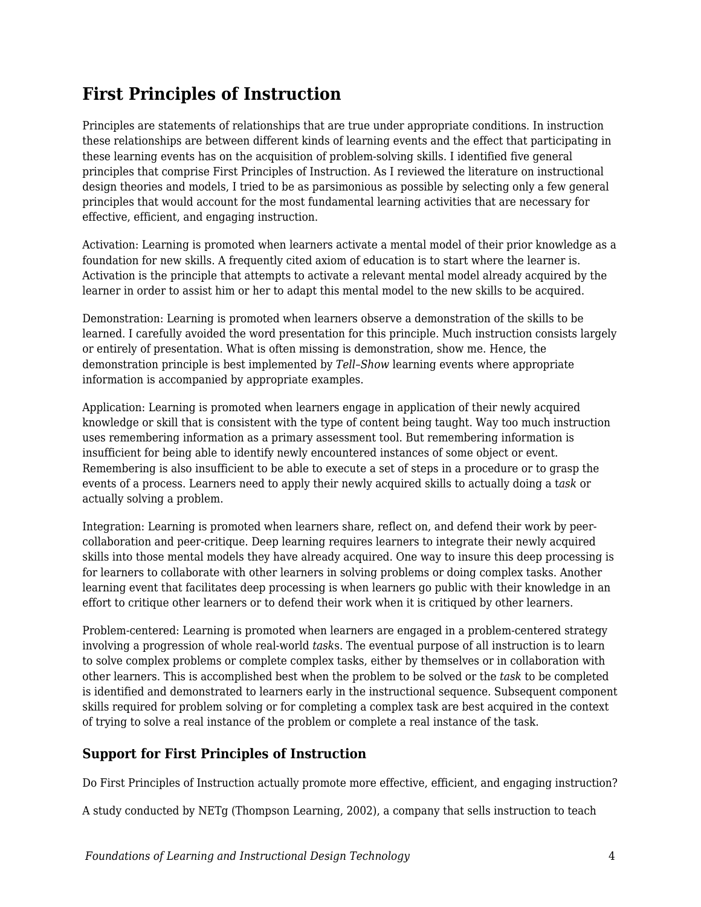### **First Principles of Instruction**

Principles are statements of relationships that are true under appropriate conditions. In instruction these relationships are between different kinds of learning events and the effect that participating in these learning events has on the acquisition of problem-solving skills. I identified five general principles that comprise First Principles of Instruction. As I reviewed the literature on instructional design theories and models, I tried to be as parsimonious as possible by selecting only a few general principles that would account for the most fundamental learning activities that are necessary for effective, efficient, and engaging instruction.

Activation: Learning is promoted when learners activate a mental model of their prior knowledge as a foundation for new skills. A frequently cited axiom of education is to start where the learner is. Activation is the principle that attempts to activate a relevant mental model already acquired by the learner in order to assist him or her to adapt this mental model to the new skills to be acquired.

Demonstration: Learning is promoted when learners observe a demonstration of the skills to be learned. I carefully avoided the word presentation for this principle. Much instruction consists largely or entirely of presentation. What is often missing is demonstration, show me. Hence, the demonstration principle is best implemented by *Tell*–*Show* learning events where appropriate information is accompanied by appropriate examples.

Application: Learning is promoted when learners engage in application of their newly acquired knowledge or skill that is consistent with the type of content being taught. Way too much instruction uses remembering information as a primary assessment tool. But remembering information is insufficient for being able to identify newly encountered instances of some object or event. Remembering is also insufficient to be able to execute a set of steps in a procedure or to grasp the events of a process. Learners need to apply their newly acquired skills to actually doing a t*ask* or actually solving a problem.

Integration: Learning is promoted when learners share, reflect on, and defend their work by peercollaboration and peer-critique. Deep learning requires learners to integrate their newly acquired skills into those mental models they have already acquired. One way to insure this deep processing is for learners to collaborate with other learners in solving problems or doing complex tasks. Another learning event that facilitates deep processing is when learners go public with their knowledge in an effort to critique other learners or to defend their work when it is critiqued by other learners.

Problem-centered: Learning is promoted when learners are engaged in a problem-centered strategy involving a progression of whole real-world *task*s. The eventual purpose of all instruction is to learn to solve complex problems or complete complex tasks, either by themselves or in collaboration with other learners. This is accomplished best when the problem to be solved or the *task* to be completed is identified and demonstrated to learners early in the instructional sequence. Subsequent component skills required for problem solving or for completing a complex task are best acquired in the context of trying to solve a real instance of the problem or complete a real instance of the task.

#### **Support for First Principles of Instruction**

Do First Principles of Instruction actually promote more effective, efficient, and engaging instruction?

A study conducted by NETg (Thompson Learning, 2002), a company that sells instruction to teach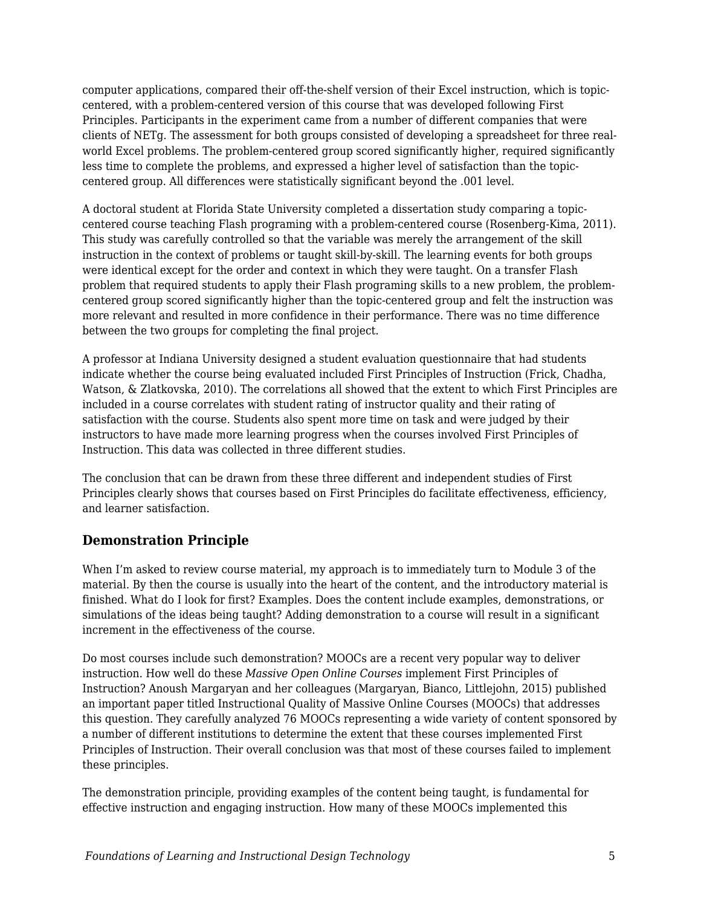computer applications, compared their off-the-shelf version of their Excel instruction, which is topiccentered, with a problem-centered version of this course that was developed following First Principles. Participants in the experiment came from a number of different companies that were clients of NETg. The assessment for both groups consisted of developing a spreadsheet for three realworld Excel problems. The problem-centered group scored significantly higher, required significantly less time to complete the problems, and expressed a higher level of satisfaction than the topiccentered group. All differences were statistically significant beyond the .001 level.

A doctoral student at Florida State University completed a dissertation study comparing a topiccentered course teaching Flash programing with a problem-centered course (Rosenberg-Kima, 2011). This study was carefully controlled so that the variable was merely the arrangement of the skill instruction in the context of problems or taught skill-by-skill. The learning events for both groups were identical except for the order and context in which they were taught. On a transfer Flash problem that required students to apply their Flash programing skills to a new problem, the problemcentered group scored significantly higher than the topic-centered group and felt the instruction was more relevant and resulted in more confidence in their performance. There was no time difference between the two groups for completing the final project.

A professor at Indiana University designed a student evaluation questionnaire that had students indicate whether the course being evaluated included First Principles of Instruction (Frick, Chadha, Watson, & Zlatkovska, 2010). The correlations all showed that the extent to which First Principles are included in a course correlates with student rating of instructor quality and their rating of satisfaction with the course. Students also spent more time on task and were judged by their instructors to have made more learning progress when the courses involved First Principles of Instruction. This data was collected in three different studies.

The conclusion that can be drawn from these three different and independent studies of First Principles clearly shows that courses based on First Principles do facilitate effectiveness, efficiency, and learner satisfaction.

#### **Demonstration Principle**

When I'm asked to review course material, my approach is to immediately turn to Module 3 of the material. By then the course is usually into the heart of the content, and the introductory material is finished. What do I look for first? Examples. Does the content include examples, demonstrations, or simulations of the ideas being taught? Adding demonstration to a course will result in a significant increment in the effectiveness of the course.

Do most courses include such demonstration? MOOCs are a recent very popular way to deliver instruction. How well do these *Massive Open Online Courses* implement First Principles of Instruction? Anoush Margaryan and her colleagues (Margaryan, Bianco, Littlejohn, 2015) published an important paper titled Instructional Quality of Massive Online Courses (MOOCs) that addresses this question. They carefully analyzed 76 MOOCs representing a wide variety of content sponsored by a number of different institutions to determine the extent that these courses implemented First Principles of Instruction. Their overall conclusion was that most of these courses failed to implement these principles.

The demonstration principle, providing examples of the content being taught, is fundamental for effective instruction and engaging instruction. How many of these MOOCs implemented this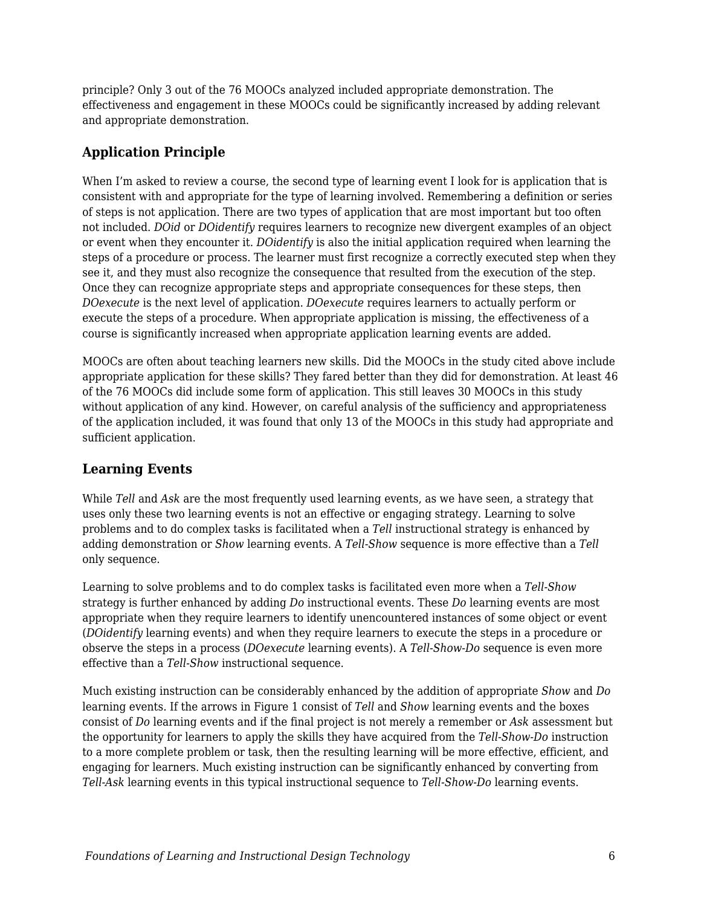principle? Only 3 out of the 76 MOOCs analyzed included appropriate demonstration. The effectiveness and engagement in these MOOCs could be significantly increased by adding relevant and appropriate demonstration.

#### **Application Principle**

When I'm asked to review a course, the second type of learning event I look for is application that is consistent with and appropriate for the type of learning involved. Remembering a definition or series of steps is not application. There are two types of application that are most important but too often not included. *DOid* or *DOidentify* requires learners to recognize new divergent examples of an object or event when they encounter it. *DOidentify* is also the initial application required when learning the steps of a procedure or process. The learner must first recognize a correctly executed step when they see it, and they must also recognize the consequence that resulted from the execution of the step. Once they can recognize appropriate steps and appropriate consequences for these steps, then *DOexecute* is the next level of application. *DOexecute* requires learners to actually perform or execute the steps of a procedure. When appropriate application is missing, the effectiveness of a course is significantly increased when appropriate application learning events are added.

MOOCs are often about teaching learners new skills. Did the MOOCs in the study cited above include appropriate application for these skills? They fared better than they did for demonstration. At least 46 of the 76 MOOCs did include some form of application. This still leaves 30 MOOCs in this study without application of any kind. However, on careful analysis of the sufficiency and appropriateness of the application included, it was found that only 13 of the MOOCs in this study had appropriate and sufficient application.

#### **Learning Events**

While *Tell* and *Ask* are the most frequently used learning events, as we have seen, a strategy that uses only these two learning events is not an effective or engaging strategy. Learning to solve problems and to do complex tasks is facilitated when a *Tell* instructional strategy is enhanced by adding demonstration or *Show* learning events. A *Tell-Show* sequence is more effective than a *Tell* only sequence.

Learning to solve problems and to do complex tasks is facilitated even more when a *Tell-Show* strategy is further enhanced by adding *Do* instructional events. These *Do* learning events are most appropriate when they require learners to identify unencountered instances of some object or event (*DOidentify* learning events) and when they require learners to execute the steps in a procedure or observe the steps in a process (*DOexecute* learning events). A *Tell-Show-Do* sequence is even more effective than a *Tell-Show* instructional sequence.

Much existing instruction can be considerably enhanced by the addition of appropriate *Show* and *Do* learning events. If the arrows in Figure 1 consist of *Tell* and *Show* learning events and the boxes consist of *Do* learning events and if the final project is not merely a remember or *Ask* assessment but the opportunity for learners to apply the skills they have acquired from the *Tell-Show-Do* instruction to a more complete problem or task, then the resulting learning will be more effective, efficient, and engaging for learners. Much existing instruction can be significantly enhanced by converting from *Tell-Ask* learning events in this typical instructional sequence to *Tell-Show-Do* learning events.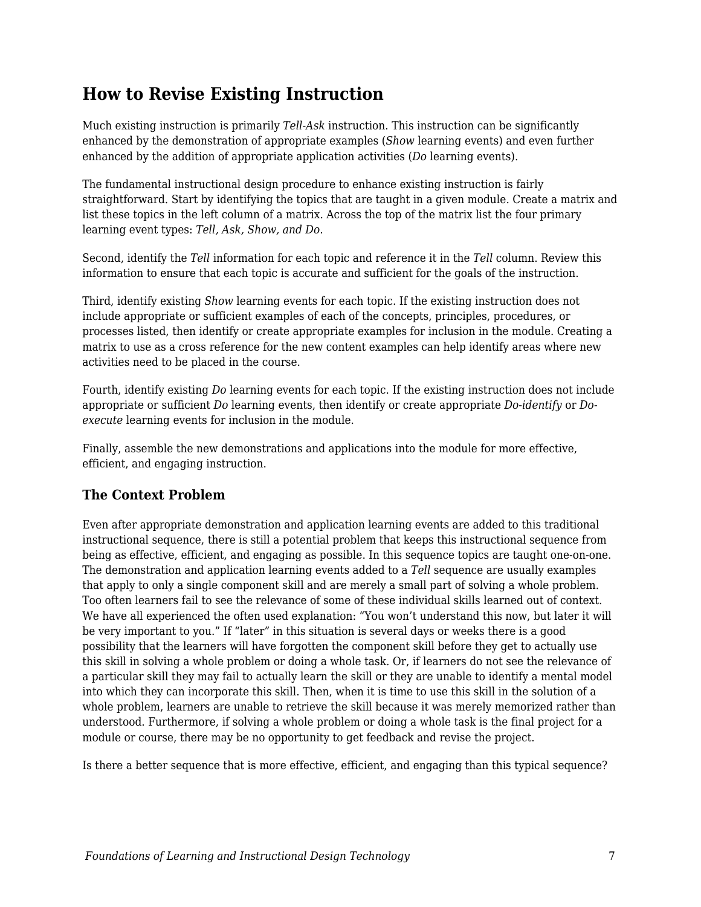### **How to Revise Existing Instruction**

Much existing instruction is primarily *Tell-Ask* instruction. This instruction can be significantly enhanced by the demonstration of appropriate examples (*Show* learning events) and even further enhanced by the addition of appropriate application activities (*Do* learning events).

The fundamental instructional design procedure to enhance existing instruction is fairly straightforward. Start by identifying the topics that are taught in a given module. Create a matrix and list these topics in the left column of a matrix. Across the top of the matrix list the four primary learning event types: *Tell, Ask, Show, and Do.*

Second, identify the *Tell* information for each topic and reference it in the *Tell* column. Review this information to ensure that each topic is accurate and sufficient for the goals of the instruction.

Third, identify existing *Show* learning events for each topic. If the existing instruction does not include appropriate or sufficient examples of each of the concepts, principles, procedures, or processes listed, then identify or create appropriate examples for inclusion in the module. Creating a matrix to use as a cross reference for the new content examples can help identify areas where new activities need to be placed in the course.

Fourth, identify existing *Do* learning events for each topic. If the existing instruction does not include appropriate or sufficient *Do* learning events, then identify or create appropriate *Do-identify* or *Doexecute* learning events for inclusion in the module.

Finally, assemble the new demonstrations and applications into the module for more effective, efficient, and engaging instruction.

#### **The Context Problem**

Even after appropriate demonstration and application learning events are added to this traditional instructional sequence, there is still a potential problem that keeps this instructional sequence from being as effective, efficient, and engaging as possible. In this sequence topics are taught one-on-one. The demonstration and application learning events added to a *Tell* sequence are usually examples that apply to only a single component skill and are merely a small part of solving a whole problem. Too often learners fail to see the relevance of some of these individual skills learned out of context. We have all experienced the often used explanation: "You won't understand this now, but later it will be very important to you." If "later" in this situation is several days or weeks there is a good possibility that the learners will have forgotten the component skill before they get to actually use this skill in solving a whole problem or doing a whole task. Or, if learners do not see the relevance of a particular skill they may fail to actually learn the skill or they are unable to identify a mental model into which they can incorporate this skill. Then, when it is time to use this skill in the solution of a whole problem, learners are unable to retrieve the skill because it was merely memorized rather than understood. Furthermore, if solving a whole problem or doing a whole task is the final project for a module or course, there may be no opportunity to get feedback and revise the project.

Is there a better sequence that is more effective, efficient, and engaging than this typical sequence?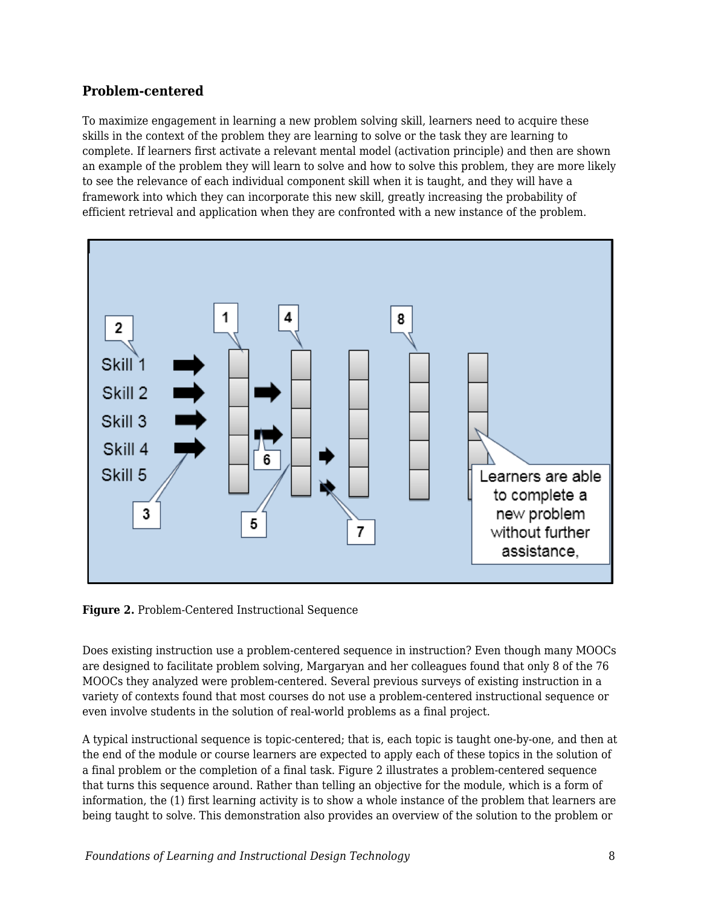#### **Problem-centered**

To maximize engagement in learning a new problem solving skill, learners need to acquire these skills in the context of the problem they are learning to solve or the task they are learning to complete. If learners first activate a relevant mental model (activation principle) and then are shown an example of the problem they will learn to solve and how to solve this problem, they are more likely to see the relevance of each individual component skill when it is taught, and they will have a framework into which they can incorporate this new skill, greatly increasing the probability of efficient retrieval and application when they are confronted with a new instance of the problem.



**Figure 2.** Problem-Centered Instructional Sequence

Does existing instruction use a problem-centered sequence in instruction? Even though many MOOCs are designed to facilitate problem solving, Margaryan and her colleagues found that only 8 of the 76 MOOCs they analyzed were problem-centered. Several previous surveys of existing instruction in a variety of contexts found that most courses do not use a problem-centered instructional sequence or even involve students in the solution of real-world problems as a final project.

A typical instructional sequence is topic-centered; that is, each topic is taught one-by-one, and then at the end of the module or course learners are expected to apply each of these topics in the solution of a final problem or the completion of a final task. Figure 2 illustrates a problem-centered sequence that turns this sequence around. Rather than telling an objective for the module, which is a form of information, the (1) first learning activity is to show a whole instance of the problem that learners are being taught to solve. This demonstration also provides an overview of the solution to the problem or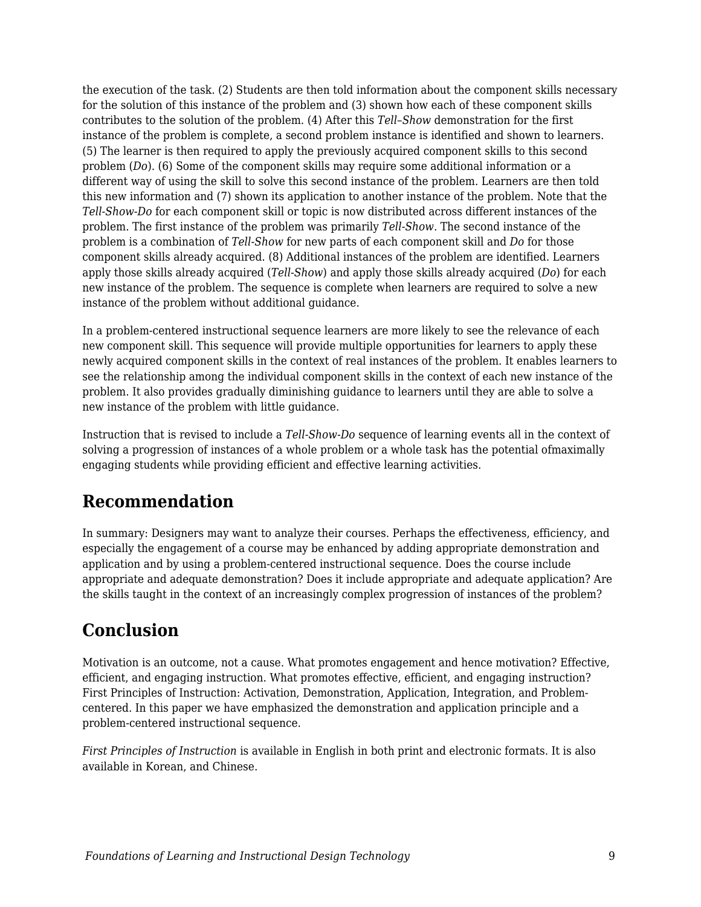the execution of the task. (2) Students are then told information about the component skills necessary for the solution of this instance of the problem and (3) shown how each of these component skills contributes to the solution of the problem. (4) After this *Tell*–*Show* demonstration for the first instance of the problem is complete, a second problem instance is identified and shown to learners. (5) The learner is then required to apply the previously acquired component skills to this second problem (*Do*). (6) Some of the component skills may require some additional information or a different way of using the skill to solve this second instance of the problem. Learners are then told this new information and (7) shown its application to another instance of the problem. Note that the *Tell-Show-Do* for each component skill or topic is now distributed across different instances of the problem. The first instance of the problem was primarily *Tell-Show*. The second instance of the problem is a combination of *Tell-Show* for new parts of each component skill and *Do* for those component skills already acquired. (8) Additional instances of the problem are identified. Learners apply those skills already acquired (*Tell-Show*) and apply those skills already acquired (*Do*) for each new instance of the problem. The sequence is complete when learners are required to solve a new instance of the problem without additional guidance.

In a problem-centered instructional sequence learners are more likely to see the relevance of each new component skill. This sequence will provide multiple opportunities for learners to apply these newly acquired component skills in the context of real instances of the problem. It enables learners to see the relationship among the individual component skills in the context of each new instance of the problem. It also provides gradually diminishing guidance to learners until they are able to solve a new instance of the problem with little guidance.

Instruction that is revised to include a *Tell-Show-Do* sequence of learning events all in the context of solving a progression of instances of a whole problem or a whole task has the potential ofmaximally engaging students while providing efficient and effective learning activities.

## **Recommendation**

In summary: Designers may want to analyze their courses. Perhaps the effectiveness, efficiency, and especially the engagement of a course may be enhanced by adding appropriate demonstration and application and by using a problem-centered instructional sequence. Does the course include appropriate and adequate demonstration? Does it include appropriate and adequate application? Are the skills taught in the context of an increasingly complex progression of instances of the problem?

## **Conclusion**

Motivation is an outcome, not a cause. What promotes engagement and hence motivation? Effective, efficient, and engaging instruction. What promotes effective, efficient, and engaging instruction? First Principles of Instruction: Activation, Demonstration, Application, Integration, and Problemcentered. In this paper we have emphasized the demonstration and application principle and a problem-centered instructional sequence.

*First Principles of Instruction* is available in English in both print and electronic formats. It is also available in Korean, and Chinese.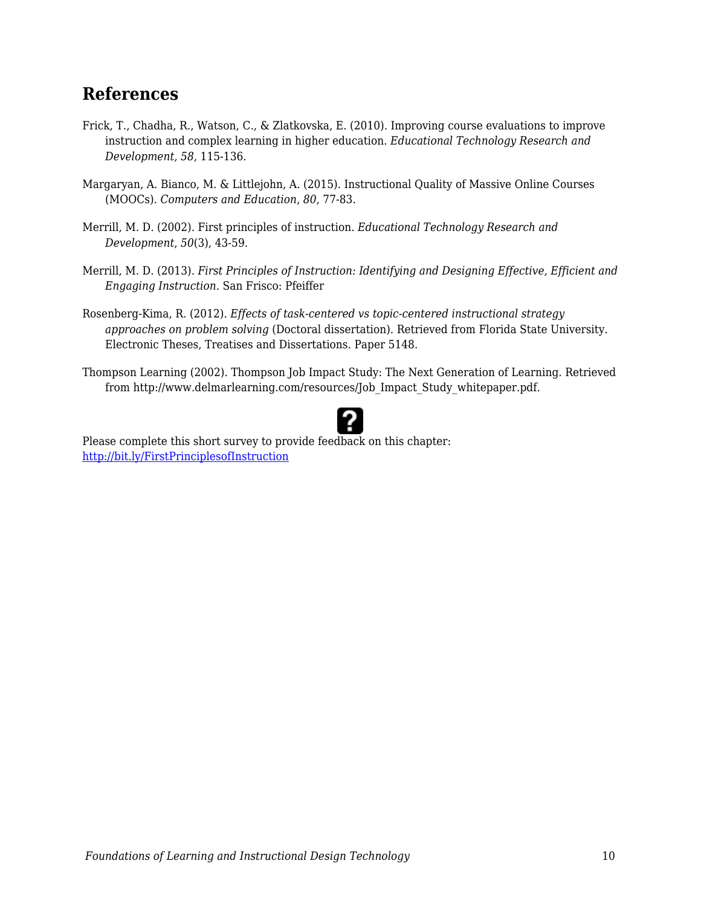### **References**

- Frick, T., Chadha, R., Watson, C., & Zlatkovska, E. (2010). Improving course evaluations to improve instruction and complex learning in higher education. *Educational Technology Research and Development, 58*, 115-136*.*
- Margaryan, A. Bianco, M. & Littlejohn, A. (2015). Instructional Quality of Massive Online Courses (MOOCs). *Computers and Education*, *80*, 77-83.
- Merrill, M. D. (2002). First principles of instruction. *Educational Technology Research and Development*, *50*(3), 43-59.
- Merrill, M. D. (2013). *First Principles of Instruction: Identifying and Designing Effective, Efficient and Engaging Instruction*. San Frisco: Pfeiffer
- Rosenberg-Kima, R. (2012). *Effects of task-centered vs topic-centered instructional strategy approaches on problem solving* (Doctoral dissertation). Retrieved from Florida State University. Electronic Theses, Treatises and Dissertations. Paper 5148.
- Thompson Learning (2002). Thompson Job Impact Study: The Next Generation of Learning. Retrieved from http://www.delmarlearning.com/resources/Job\_Impact\_Study\_whitepaper.pdf.



Please complete this short survey to provide feedback on this chapter: <http://bit.ly/FirstPrinciplesofInstruction>